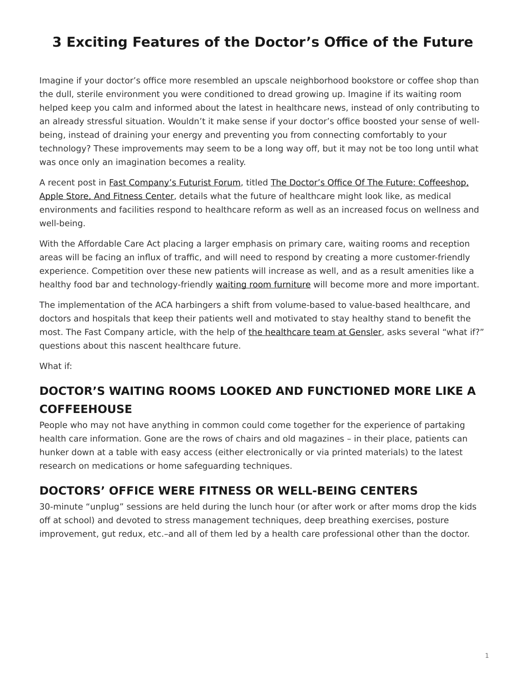## <span id="page-0-0"></span>**3 Exciting Features of the Doctor's Office of the Future**

Imagine if your doctor's office more resembled an upscale neighborhood bookstore or coffee shop than the dull, sterile environment you were conditioned to dread growing up. Imagine if its waiting room helped keep you calm and informed about the latest in healthcare news, instead of only contributing to an already stressful situation. Wouldn't it make sense if your doctor's office boosted your sense of wellbeing, instead of draining your energy and preventing you from connecting comfortably to your technology? These improvements may seem to be a long way off, but it may not be too long until what was once only an imagination becomes a reality.

A recent post in [Fast Company's Futurist Forum](http://www.fastcoexist.com/section/futurist-forum), titled [The Doctor's Office Of The Future: Coffeeshop,](http://www.fastcoexist.com/3023255/futurist-forum/the-doctors-office-of-the-future-coffeeshop-apple-store-and-fitness-center?partner=newsletter#2) [Apple Store, And Fitness Center,](http://www.fastcoexist.com/3023255/futurist-forum/the-doctors-office-of-the-future-coffeeshop-apple-store-and-fitness-center?partner=newsletter#2) details what the future of healthcare might look like, as medical environments and facilities respond to healthcare reform as well as an increased focus on wellness and well-being.

With the Affordable Care Act placing a larger emphasis on primary care, waiting rooms and reception areas will be facing an influx of traffic, and will need to respond by creating a more customer-friendly experience. Competition over these new patients will increase as well, and as a result amenities like a healthy food bar and technology-friendly [waiting room furniture](https://www.steelcase.com/products/side-guest-chairs/) will become more and more important.

The implementation of the ACA harbingers a shift from volume-based to value-based healthcare, and doctors and hospitals that keep their patients well and motivated to stay healthy stand to benefit the most. The Fast Company article, with the help of [the healthcare team at Gensler](http://m.gensler.com/markets/health-wellness), asks several "what if?" questions about this nascent healthcare future.

What if:

## **DOCTOR'S WAITING ROOMS LOOKED AND FUNCTIONED MORE LIKE A COFFEEHOUSE**

People who may not have anything in common could come together for the experience of partaking health care information. Gone are the rows of chairs and old magazines – in their place, patients can hunker down at a table with easy access (either electronically or via printed materials) to the latest research on medications or home safeguarding techniques.

## **DOCTORS' OFFICE WERE FITNESS OR WELL-BEING CENTERS**

30-minute "unplug" sessions are held during the lunch hour (or after work or after moms drop the kids off at school) and devoted to stress management techniques, deep breathing exercises, posture improvement, gut redux, etc.–and all of them led by a health care professional other than the doctor.